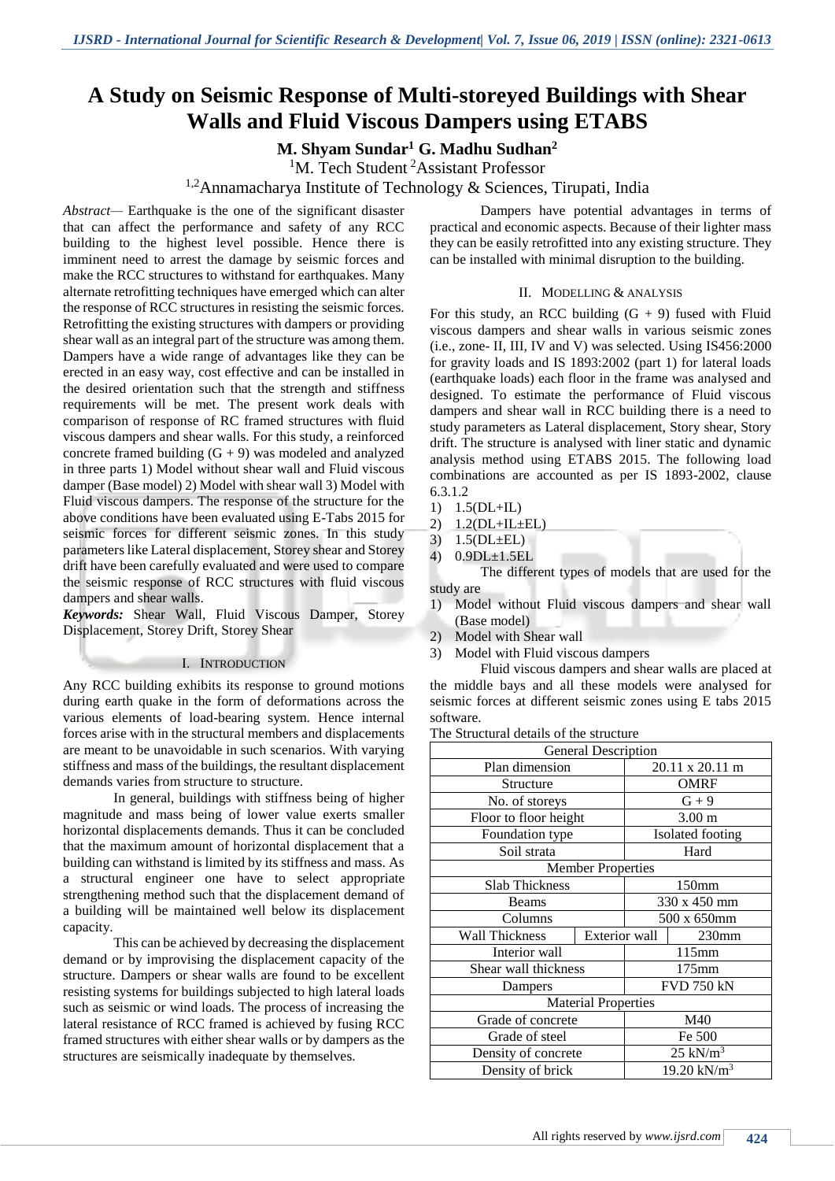# **A Study on Seismic Response of Multi-storeyed Buildings with Shear Walls and Fluid Viscous Dampers using ETABS**

**M. Shyam Sundar<sup>1</sup> G. Madhu Sudhan<sup>2</sup>**

<sup>1</sup>M. Tech Student<sup>2</sup>Assistant Professor

<sup>1,2</sup>Annamacharya Institute of Technology & Sciences, Tirupati, India

*Abstract—* Earthquake is the one of the significant disaster that can affect the performance and safety of any RCC building to the highest level possible. Hence there is imminent need to arrest the damage by seismic forces and make the RCC structures to withstand for earthquakes. Many alternate retrofitting techniques have emerged which can alter the response of RCC structures in resisting the seismic forces. Retrofitting the existing structures with dampers or providing shear wall as an integral part of the structure was among them. Dampers have a wide range of advantages like they can be erected in an easy way, cost effective and can be installed in the desired orientation such that the strength and stiffness requirements will be met. The present work deals with comparison of response of RC framed structures with fluid viscous dampers and shear walls. For this study, a reinforced concrete framed building  $(G + 9)$  was modeled and analyzed in three parts 1) Model without shear wall and Fluid viscous damper (Base model) 2) Model with shear wall 3) Model with Fluid viscous dampers. The response of the structure for the above conditions have been evaluated using E-Tabs 2015 for seismic forces for different seismic zones. In this study parameters like Lateral displacement, Storey shear and Storey drift have been carefully evaluated and were used to compare the seismic response of RCC structures with fluid viscous dampers and shear walls.

*Keywords:* Shear Wall, Fluid Viscous Damper, Storey Displacement, Storey Drift, Storey Shear

## I. INTRODUCTION

Any RCC building exhibits its response to ground motions during earth quake in the form of deformations across the various elements of load-bearing system. Hence internal forces arise with in the structural members and displacements are meant to be unavoidable in such scenarios. With varying stiffness and mass of the buildings, the resultant displacement demands varies from structure to structure.

In general, buildings with stiffness being of higher magnitude and mass being of lower value exerts smaller horizontal displacements demands. Thus it can be concluded that the maximum amount of horizontal displacement that a building can withstand is limited by its stiffness and mass. As a structural engineer one have to select appropriate strengthening method such that the displacement demand of a building will be maintained well below its displacement capacity.

This can be achieved by decreasing the displacement demand or by improvising the displacement capacity of the structure. Dampers or shear walls are found to be excellent resisting systems for buildings subjected to high lateral loads such as seismic or wind loads. The process of increasing the lateral resistance of RCC framed is achieved by fusing RCC framed structures with either shear walls or by dampers as the structures are seismically inadequate by themselves.

Dampers have potential advantages in terms of practical and economic aspects. Because of their lighter mass they can be easily retrofitted into any existing structure. They can be installed with minimal disruption to the building.

### II. MODELLING & ANALYSIS

For this study, an RCC building  $(G + 9)$  fused with Fluid viscous dampers and shear walls in various seismic zones (i.e., zone- II, III, IV and V) was selected. Using IS456:2000 for gravity loads and IS 1893:2002 (part 1) for lateral loads (earthquake loads) each floor in the frame was analysed and designed. To estimate the performance of Fluid viscous dampers and shear wall in RCC building there is a need to study parameters as Lateral displacement, Story shear, Story drift. The structure is analysed with liner static and dynamic analysis method using ETABS 2015. The following load combinations are accounted as per IS 1893-2002, clause 6.3.1.2

- 1) 1.5(DL+IL)
- 2) 1.2(DL+IL±EL)
- 3)  $1.5(DL \pm EL)$
- 4) 0.9DL±1.5EL

The different types of models that are used for the study are

- 1) Model without Fluid viscous dampers and shear wall (Base model)
- 2) Model with Shear wall
- 3) Model with Fluid viscous dampers

Fluid viscous dampers and shear walls are placed at the middle bays and all these models were analysed for seismic forces at different seismic zones using E tabs 2015 software.

The Structural details of the structure

|                       | General Description        |                   |                   |
|-----------------------|----------------------------|-------------------|-------------------|
| Plan dimension        |                            | 20.11 x 20.11 m   |                   |
| Structure             |                            |                   | <b>OMRF</b>       |
| No. of storeys        |                            |                   | $G + 9$           |
| Floor to floor height |                            |                   | 3.00 <sub>m</sub> |
| Foundation type       |                            |                   | Isolated footing  |
| Soil strata           |                            |                   | Hard              |
|                       | <b>Member Properties</b>   |                   |                   |
| <b>Slab Thickness</b> |                            |                   | 150 <sub>mm</sub> |
| Beams                 |                            | 330 x 450 mm      |                   |
| Columns               |                            | 500 x 650mm       |                   |
| <b>Wall Thickness</b> | Exterior wall              |                   | 230 <sub>mm</sub> |
| Interior wall         |                            | 115mm             |                   |
| Shear wall thickness  |                            | $175$ mm          |                   |
| Dampers               |                            | <b>FVD 750 kN</b> |                   |
|                       | <b>Material Properties</b> |                   |                   |
| Grade of concrete     |                            | M40               |                   |
| Grade of steel        |                            | Fe 500            |                   |
| Density of concrete   |                            | $25$ kN/ $m3$     |                   |
| Density of brick      |                            |                   | 19.20 $kN/m^3$    |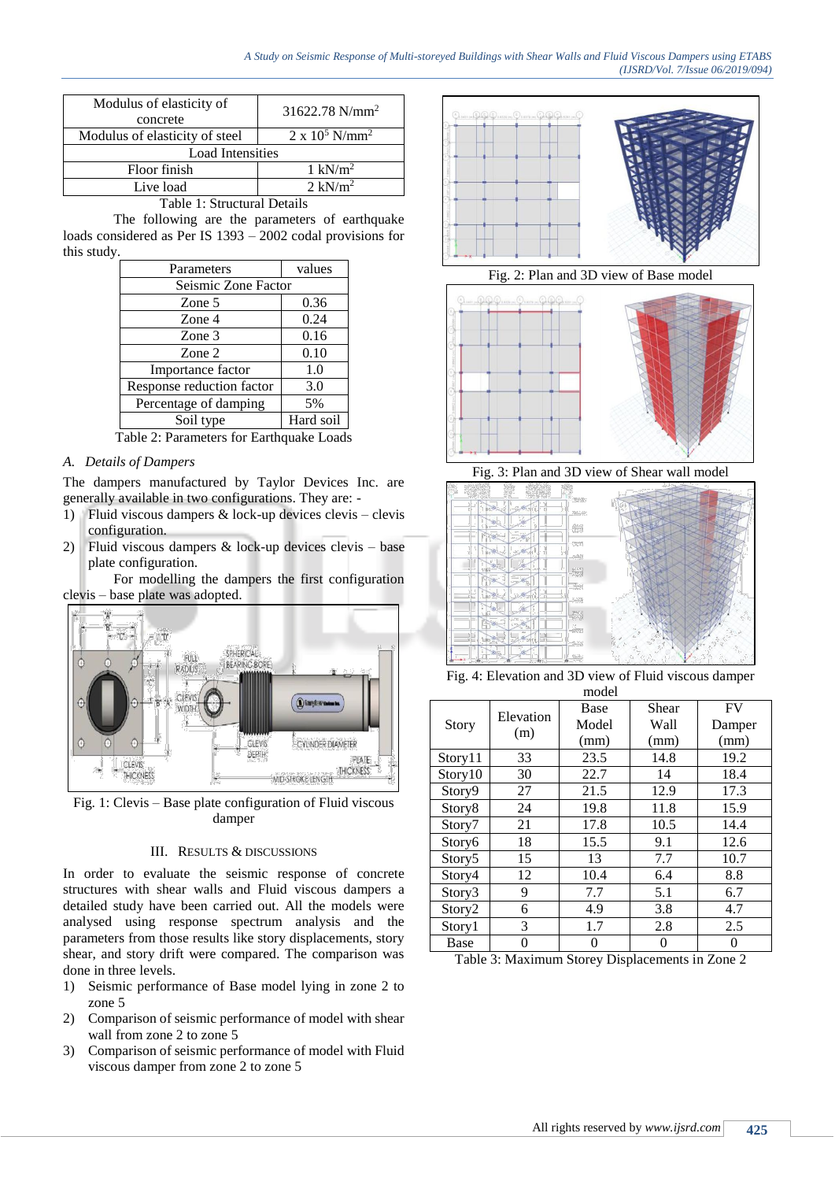| Modulus of elasticity of<br>concrete | $31622.78$ N/mm <sup>2</sup>      |
|--------------------------------------|-----------------------------------|
| Modulus of elasticity of steel       | $2 \times 10^5$ N/mm <sup>2</sup> |
| <b>Load Intensities</b>              |                                   |
| Floor finish                         | $1 \text{ kN/m}^2$                |
| Live load                            | $2 \text{ kN/m}^2$                |

Table 1: Structural Details

The following are the parameters of earthquake loads considered as Per IS 1393 – 2002 codal provisions for this study.

| Parameters                | values    |
|---------------------------|-----------|
| Seismic Zone Factor       |           |
| Zone 5                    | 0.36      |
| Zone 4                    | 0.24      |
| Zone 3                    | 0.16      |
| Zone 2                    | 0.10      |
| Importance factor         | 1.0       |
| Response reduction factor | 3.0       |
| Percentage of damping     | 5%        |
| Soil type                 | Hard soil |

Table 2: Parameters for Earthquake Loads

## *A. Details of Dampers*

The dampers manufactured by Taylor Devices Inc. are generally available in two configurations. They are: -

- 1) Fluid viscous dampers & lock-up devices clevis clevis configuration.
- 2) Fluid viscous dampers & lock-up devices clevis base plate configuration.

For modelling the dampers the first configuration clevis – base plate was adopted.



Fig. 1: Clevis – Base plate configuration of Fluid viscous damper

## III. RESULTS & DISCUSSIONS

In order to evaluate the seismic response of concrete structures with shear walls and Fluid viscous dampers a detailed study have been carried out. All the models were analysed using response spectrum analysis and the parameters from those results like story displacements, story shear, and story drift were compared. The comparison was done in three levels.

- 1) Seismic performance of Base model lying in zone 2 to zone 5
- 2) Comparison of seismic performance of model with shear wall from zone 2 to zone 5
- 3) Comparison of seismic performance of model with Fluid viscous damper from zone 2 to zone 5



Fig. 2: Plan and 3D view of Base model



Fig. 3: Plan and 3D view of Shear wall model



Fig. 4: Elevation and 3D view of Fluid viscous damper model

|                    |                  | Base  | Shear | <b>FV</b> |
|--------------------|------------------|-------|-------|-----------|
| Story              | Elevation<br>(m) | Model | Wall  | Damper    |
|                    |                  | (mm)  | (mm)  | (mm)      |
| Story11            | 33               | 23.5  | 14.8  | 19.2      |
| Story10            | 30               | 22.7  | 14    | 18.4      |
| Story9             | 27               | 21.5  | 12.9  | 17.3      |
| Story8             | 24               | 19.8  | 11.8  | 15.9      |
| Story7             | 21               | 17.8  | 10.5  | 14.4      |
| Story6             | 18               | 15.5  | 9.1   | 12.6      |
| Story5             | 15               | 13    | 7.7   | 10.7      |
| Story4             | 12               | 10.4  | 6.4   | 8.8       |
| Story3             | 9                | 7.7   | 5.1   | 6.7       |
| Story <sub>2</sub> | 6                | 4.9   | 3.8   | 4.7       |
| Story1             | 3                | 1.7   | 2.8   | 2.5       |
| Base               | 0                | 0     | 0     | 0         |

Table 3: Maximum Storey Displacements in Zone 2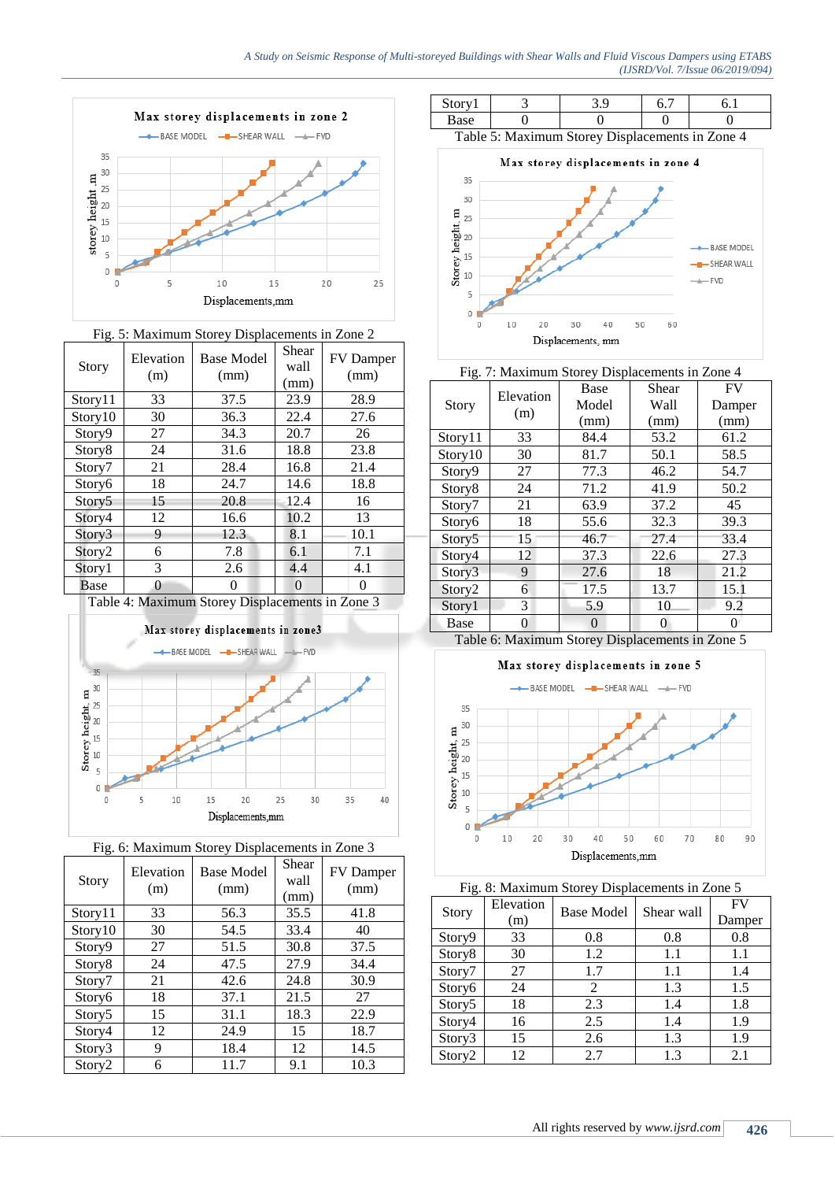$0<sub>1</sub>$ 

 $\circ$ 

 $10$ 





| <b>Story</b>       | Elevation<br>(m) | <b>Base Model</b><br>(mm) | Shear<br>wall<br>(mm) | FV Damper<br>(mm) |
|--------------------|------------------|---------------------------|-----------------------|-------------------|
| Story11            | 33               | 37.5                      | 23.9                  | 28.9              |
| Story10            | 30               | 36.3                      | 22.4                  | 27.6              |
| Story9             | 27               | 34.3                      | 20.7                  | 26                |
| Story <sub>8</sub> | 24               | 31.6                      | 18.8                  | 23.8              |
| Story7             | 21               | 28.4                      | 16.8                  | 21.4              |
| Story6             | 18               | 24.7                      | 14.6                  | 18.8              |
| Story5             | 15               | 20.8                      | 12.4                  | 16                |
| Story4             | 12               | 16.6                      | 10.2                  | 13                |
| Story3             | 9                | 12.3                      | 8.1                   | 10.1              |
| Story <sub>2</sub> | 6                | 7.8                       | 6.1                   | 7.1               |
| Story1             | 3                | 2.6                       | 4.4                   | 4.1               |
| Base               | 0                | $^{(1)}$                  | $\Omega$              | 0                 |







| Story              | Elevation<br>(m) | <b>Base Model</b><br>(mm) | Shear<br>wall<br>(mm) | FV Damper<br>(mm) |
|--------------------|------------------|---------------------------|-----------------------|-------------------|
| Story11            | 33               | 56.3                      | 35.5                  | 41.8              |
| Story10            | 30               | 54.5                      | 33.4                  | 40                |
| Story9             | 27               | 51.5                      | 30.8                  | 37.5              |
| Story8             | 24               | 47.5                      | 27.9                  | 34.4              |
| Story7             | 21               | 42.6                      | 24.8                  | 30.9              |
| Story6             | 18               | 37.1                      | 21.5                  | 27                |
| Story <sub>5</sub> | 15               | 31.1                      | 18.3                  | 22.9              |
| Story4             | 12               | 24.9                      | 15                    | 18.7              |
| Story3             | 9                | 18.4                      | 12                    | 14.5              |
| Story <sub>2</sub> | 6                | 11.7                      | 9.1                   | 10.3              |



40

50

60





| Fig. 7: Maximum Storey Displacements in Zone 4 |           |          |       |        |  |
|------------------------------------------------|-----------|----------|-------|--------|--|
|                                                |           | Base     | Shear | FV     |  |
| <b>Story</b>                                   | Elevation | Model    | Wall  | Damper |  |
|                                                | (m)       | (mm)     | (mm)  | (mm)   |  |
| Story11                                        | 33        | 84.4     | 53.2  | 61.2   |  |
| Story10                                        | 30        | 81.7     | 50.1  | 58.5   |  |
| Story9                                         | 27        | 77.3     | 46.2  | 54.7   |  |
| Story8                                         | 24        | 71.2     | 41.9  | 50.2   |  |
| Story7                                         | 21        | 63.9     | 37.2  | 45     |  |
| Story6                                         | 18        | 55.6     | 32.3  | 39.3   |  |
| Story5                                         | 15        | 46.7     | 27.4  | 33.4   |  |
| Story4                                         | 12        | 37.3     | 22.6  | 27.3   |  |
| Story3                                         | 9         | 27.6     | 18    | 21.2   |  |
| Story <sub>2</sub>                             | 6         | 17.5     | 13.7  | 15.1   |  |
| Story1                                         | 3         | 5.9      | 10    | 9.2    |  |
| Base                                           | ∩         | $\theta$ | 0     |        |  |

Table 6: Maximum Storey Displacements in Zone 5

# Max storey displacements in zone 5



|  | Fig. 8: Maximum Storey Displacements in Zone 5 |
|--|------------------------------------------------|
|  |                                                |

| Story              | Elevation<br>(m) | <b>Base Model</b> | Shear wall | <b>FV</b><br>Damper |
|--------------------|------------------|-------------------|------------|---------------------|
| Story9             | 33               | 0.8               | 0.8        | 0.8                 |
| Story8             | 30               | 1.2               | 1.1        | 1.1                 |
| Story7             | 27               | 1.7               | 1.1        | 1.4                 |
| Story6             | 24               | 2                 | 1.3        | 1.5                 |
| Story5             | 18               | 2.3               | 1.4        | 1.8                 |
| Story4             | 16               | 2.5               | 1.4        | 1.9                 |
| Story3             | 15               | 2.6               | 1.3        | 1.9                 |
| Story <sub>2</sub> | 12               | 2.7               | 1.3        | 2.1                 |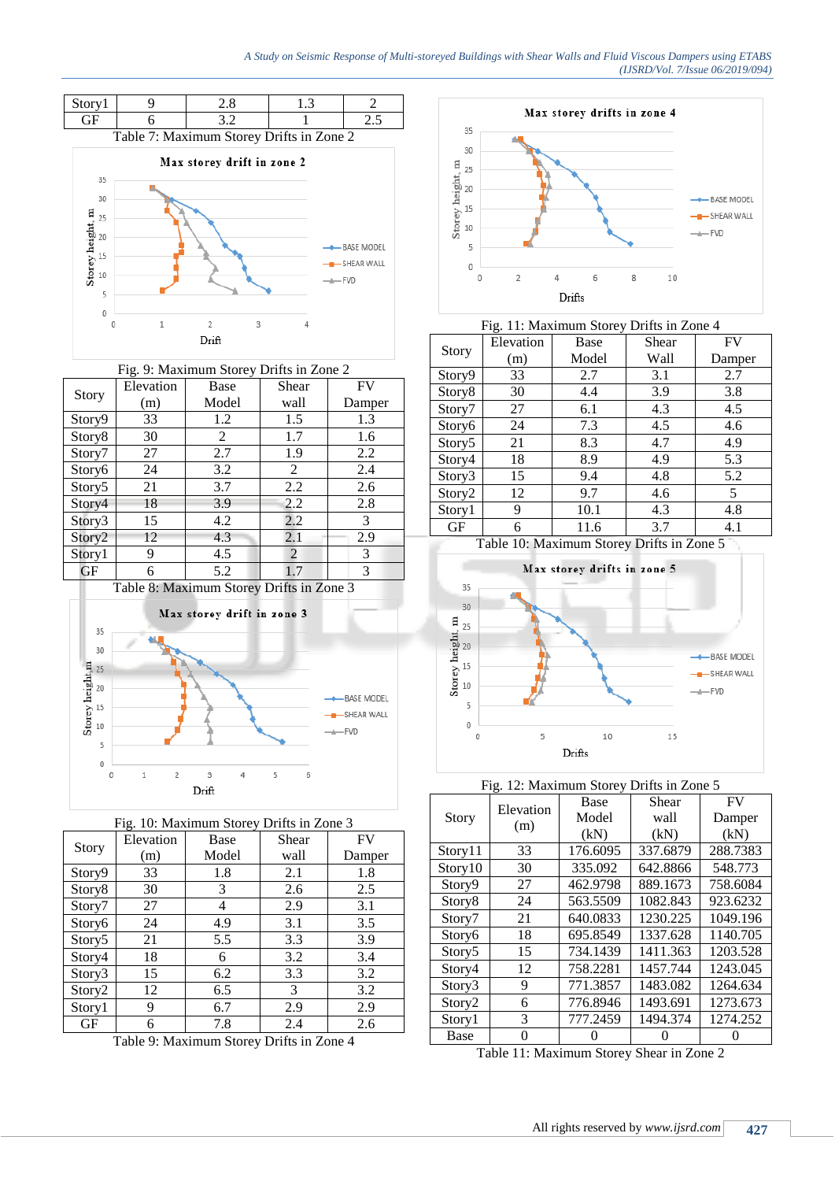### *A Study on Seismic Response of Multi-storeyed Buildings with Shear Walls and Fluid Viscous Dampers using ETABS (IJSRD/Vol. 7/Issue 06/2019/094)*



| Fig. 9: Maximum Storey Drifts in Zone 2 |           |       |       |           |
|-----------------------------------------|-----------|-------|-------|-----------|
|                                         | Elevation | Base  | Shear | <b>FV</b> |
| Story                                   | (m)       | Model | wall  | Damper    |
| Story9                                  | 33        | 1.2   | 1.5   | 1.3       |
| Story8                                  | 30        | 2     | 1.7   | 1.6       |
| Story7                                  | 27        | 2.7   | 1.9   | 2.2       |
| Story6                                  | 24        | 3.2   | 2     | 2.4       |
| Story5                                  | 21        | 3.7   | 2.2   | 2.6       |
| Story4                                  | 18        | 3.9   | 2.2   | 2.8       |
| Story3                                  | 15        | 4.2   | 2.2   | 3         |
| Story2                                  | 12        | 4.3   | 2.1   | 2.9       |
| Story1                                  | 9         | 4.5   | 2     | 3         |
| <b>GF</b>                               | 6         | 5.2   | 1.7   | 3         |





| Fig. 10: Maximum Storey Drifts in Zone 3 |           |       |       |        |
|------------------------------------------|-----------|-------|-------|--------|
|                                          | Elevation | Base  | Shear | FV     |
| Story                                    | (m)       | Model | wall  | Damper |
| Story9                                   | 33        | 1.8   | 2.1   | 1.8    |
| Story8                                   | 30        | 3     | 2.6   | 2.5    |
| Story7                                   | 27        | 4     | 2.9   | 3.1    |
| Story6                                   | 24        | 4.9   | 3.1   | 3.5    |
| Story5                                   | 21        | 5.5   | 3.3   | 3.9    |
| Story4                                   | 18        | 6     | 3.2   | 3.4    |
| Story3                                   | 15        | 6.2   | 3.3   | 3.2    |
| Story <sub>2</sub>                       | 12        | 6.5   | 3     | 3.2    |
| Story1                                   | 9         | 6.7   | 2.9   | 2.9    |
| GF                                       | 6         | 7.8   | 2.4   | 2.6    |

Table 9: Maximum Storey Drifts in Zone 4



| Fig. 11: Maximum Storey Drifts in Zone 4 |           |                                           |       |        |
|------------------------------------------|-----------|-------------------------------------------|-------|--------|
|                                          | Elevation | Base                                      | Shear | FV     |
| Story                                    | (m)       | Model                                     | Wall  | Damper |
| Story9                                   | 33        | 2.7                                       | 3.1   | 2.7    |
| Story8                                   | 30        | 4.4                                       | 3.9   | 3.8    |
| Story7                                   | 27        | 6.1                                       | 4.3   | 4.5    |
| Story6                                   | 24        | 7.3                                       | 4.5   | 4.6    |
| Story5                                   | 21        | 8.3                                       | 4.7   | 4.9    |
| Story4                                   | 18        | 8.9                                       | 4.9   | 5.3    |
| Story3                                   | 15        | 9.4                                       | 4.8   | 5.2    |
| Story <sub>2</sub>                       | 12        | 9.7                                       | 4.6   | 5      |
| Story1                                   | 9         | 10.1                                      | 4.3   | 4.8    |
| GF                                       | 6         | 11.6                                      | 3.7   | 4.1    |
|                                          |           | Table 10: Maximum Storey Drifts in Zone 5 |       |        |



## Fig. 12: Maximum Storey Drifts in Zone 5

| Story               | Elevation<br>(m) | Base     | Shear    | <b>FV</b> |
|---------------------|------------------|----------|----------|-----------|
|                     |                  | Model    | wall     | Damper    |
|                     |                  | (kN)     | (kN)     | (kN)      |
| Story11             | 33               | 176.6095 | 337.6879 | 288.7383  |
| Story <sup>10</sup> | 30               | 335.092  | 642.8866 | 548.773   |
| Story9              | 27               | 462.9798 | 889.1673 | 758.6084  |
| Story <sup>8</sup>  | 24               | 563.5509 | 1082.843 | 923.6232  |
| Story7              | 21               | 640.0833 | 1230.225 | 1049.196  |
| Story6              | 18               | 695.8549 | 1337.628 | 1140.705  |
| Story <sub>5</sub>  | 15               | 734.1439 | 1411.363 | 1203.528  |
| Story4              | 12               | 758.2281 | 1457.744 | 1243.045  |
| Story3              | 9                | 771.3857 | 1483.082 | 1264.634  |
| Story <sub>2</sub>  | 6                | 776.8946 | 1493.691 | 1273.673  |
| Story1              | 3                | 777.2459 | 1494.374 | 1274.252  |
| Base                | 0                |          |          |           |

Table 11: Maximum Storey Shear in Zone 2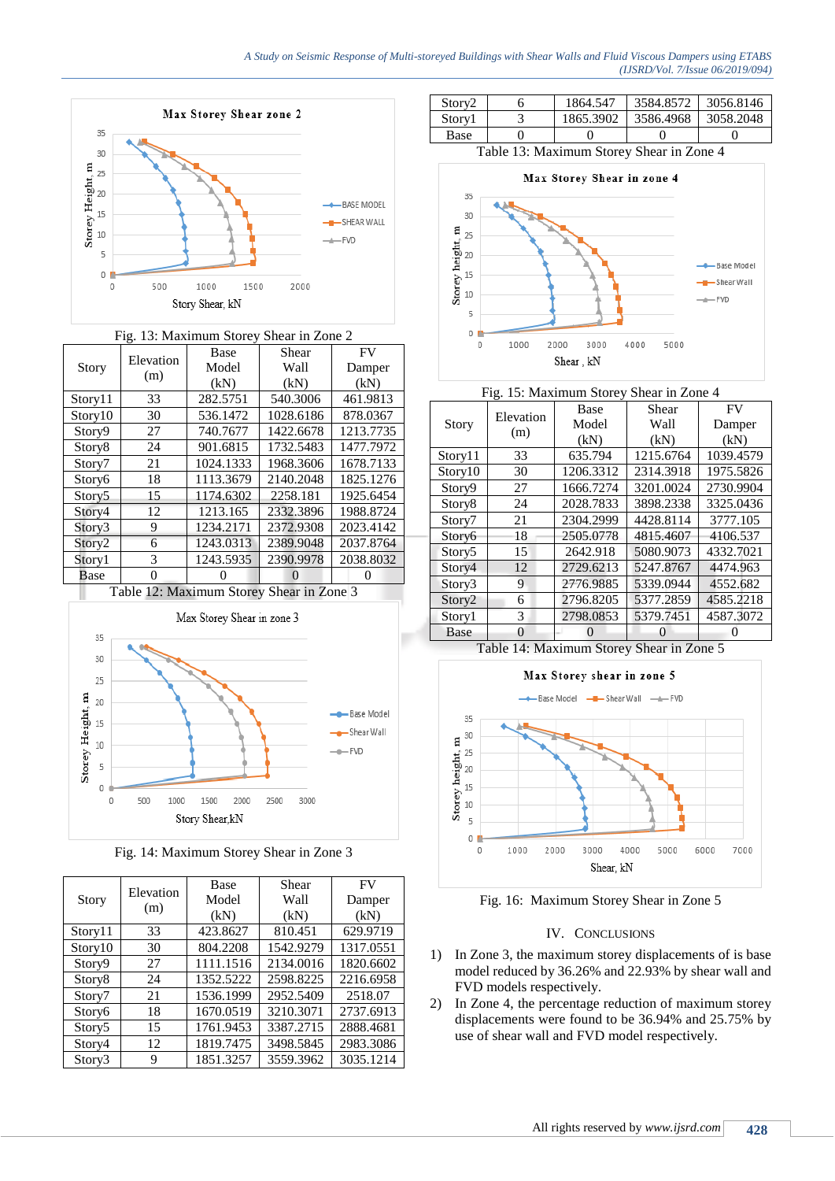

| Fig. 13: Maximum Storey Shear in Zone 2  |                  |           |           |           |
|------------------------------------------|------------------|-----------|-----------|-----------|
| Story                                    | Elevation<br>(m) | Base      | Shear     | <b>FV</b> |
|                                          |                  | Model     | Wall      | Damper    |
|                                          |                  | (kN)      | (kN)      | (kN)      |
| Story11                                  | 33               | 282.5751  | 540.3006  | 461.9813  |
| Story10                                  | 30               | 536.1472  | 1028.6186 | 878.0367  |
| Story9                                   | 27               | 740.7677  | 1422.6678 | 1213.7735 |
| Story <sub>8</sub>                       | 24               | 901.6815  | 1732.5483 | 1477.7972 |
| Story7                                   | 21               | 1024.1333 | 1968.3606 | 1678.7133 |
| Story6                                   | 18               | 1113.3679 | 2140.2048 | 1825.1276 |
| Story5                                   | 15               | 1174.6302 | 2258.181  | 1925.6454 |
| Story4                                   | 12               | 1213.165  | 2332.3896 | 1988.8724 |
| Story3                                   | 9                | 1234.2171 | 2372.9308 | 2023.4142 |
| Story2                                   | 6                | 1243.0313 | 2389.9048 | 2037.8764 |
| Story1                                   | 3                | 1243.5935 | 2390.9978 | 2038.8032 |
| Base                                     | $\Omega$         | O         | 0         | 0         |
| Table 12: Maximum Storey Shear in Zone 3 |                  |           |           |           |



Fig. 14: Maximum Storey Shear in Zone 3

| <b>Story</b> | Elevation<br>(m) | Base      | Shear     | <b>FV</b> |
|--------------|------------------|-----------|-----------|-----------|
|              |                  | Model     | Wall      | Damper    |
|              |                  | (kN)      | (kN)      | (kN)      |
| Story11      | 33               | 423.8627  | 810.451   | 629.9719  |
| Story10      | 30               | 804.2208  | 1542.9279 | 1317.0551 |
| Story9       | 27               | 1111.1516 | 2134.0016 | 1820.6602 |
| Story8       | 24               | 1352.5222 | 2598.8225 | 2216.6958 |
| Story7       | 21               | 1536.1999 | 2952.5409 | 2518.07   |
| Story6       | 18               | 1670.0519 | 3210.3071 | 2737.6913 |
| Story5       | 15               | 1761.9453 | 3387.2715 | 2888.4681 |
| Story4       | 12               | 1819.7475 | 3498.5845 | 2983.3086 |
| Story3       | 9                | 1851.3257 | 3559.3962 | 3035.1214 |

| Storv2 | 1864.547  | 3584.8572 | 3056.8146 |
|--------|-----------|-----------|-----------|
| Storv1 | 1865.3902 | 3586.4968 | 3058.2048 |
| Base   |           |           |           |

Table 13: Maximum Storey Shear in Zone 4





| <b>Story</b>       | Elevation<br>(m) | Base              | Shear     | <b>FV</b> |
|--------------------|------------------|-------------------|-----------|-----------|
|                    |                  | Model             | Wall      | Damper    |
|                    |                  | (kN)              | (kN)      | (kN)      |
| Story11            | 33               | 635.794           | 1215.6764 | 1039.4579 |
| Story10            | 30               | 1206.3312         | 2314.3918 | 1975.5826 |
| Story9             | 27               | 1666.7274         | 3201.0024 | 2730.9904 |
| Story8             | 24               | 2028.7833         | 3898.2338 | 3325.0436 |
| Story7             | 21               | 2304.2999         | 4428.8114 | 3777.105  |
| Story6             | 18               | 2505.0778         | 4815.4607 | 4106.537  |
| Story5             | 15               | 2642.918          | 5080.9073 | 4332.7021 |
| Story4             | 12               | 2729.6213         | 5247.8767 | 4474.963  |
| Story3             | 9                | 2776.9885         | 5339.0944 | 4552.682  |
| Story <sub>2</sub> | 6                | 2796.8205         | 5377.2859 | 4585.2218 |
| Story1             | 3                | 2798.0853         | 5379.7451 | 4587.3072 |
| <b>Base</b>        | 0                | $\mathbf{\Omega}$ | O         |           |

Table 14: Maximum Storey Shear in Zone 5



Fig. 16: Maximum Storey Shear in Zone 5

# IV. CONCLUSIONS

- 1) In Zone 3, the maximum storey displacements of is base model reduced by 36.26% and 22.93% by shear wall and FVD models respectively.
- 2) In Zone 4, the percentage reduction of maximum storey displacements were found to be 36.94% and 25.75% by use of shear wall and FVD model respectively.